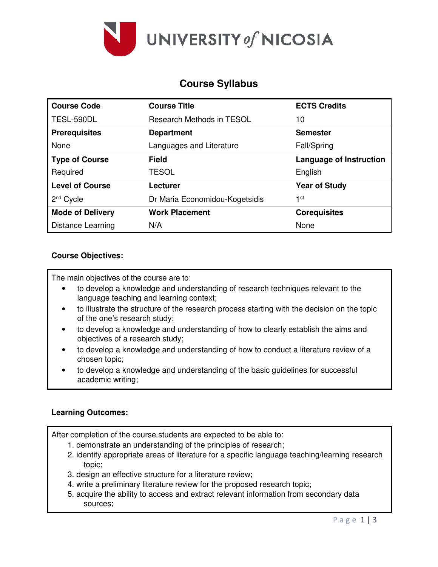

# **Course Syllabus**

| <b>Course Code</b>      | <b>Course Title</b>            | <b>ECTS Credits</b>            |
|-------------------------|--------------------------------|--------------------------------|
| TESL-590DL              | Research Methods in TESOL      | 10                             |
| <b>Prerequisites</b>    | <b>Department</b>              | <b>Semester</b>                |
| None                    | Languages and Literature       | Fall/Spring                    |
| <b>Type of Course</b>   | <b>Field</b>                   | <b>Language of Instruction</b> |
| Required                | <b>TESOL</b>                   | English                        |
| <b>Level of Course</b>  | Lecturer                       | <b>Year of Study</b>           |
| $2nd$ Cycle             | Dr Maria Economidou-Kogetsidis | 1st                            |
| <b>Mode of Delivery</b> | <b>Work Placement</b>          | <b>Corequisites</b>            |
| Distance Learning       | N/A                            | None                           |

## **Course Objectives:**

The main objectives of the course are to:

- to develop a knowledge and understanding of research techniques relevant to the language teaching and learning context;
- to illustrate the structure of the research process starting with the decision on the topic of the one's research study;
- to develop a knowledge and understanding of how to clearly establish the aims and objectives of a research study;
- to develop a knowledge and understanding of how to conduct a literature review of a chosen topic;
- to develop a knowledge and understanding of the basic guidelines for successful academic writing;

#### **Learning Outcomes:**

After completion of the course students are expected to be able to:

- 1. demonstrate an understanding of the principles of research;
- 2. identify appropriate areas of literature for a specific language teaching/learning research topic;
- 3. design an effective structure for a literature review;
- 4. write a preliminary literature review for the proposed research topic;
- 5. acquire the ability to access and extract relevant information from secondary data sources;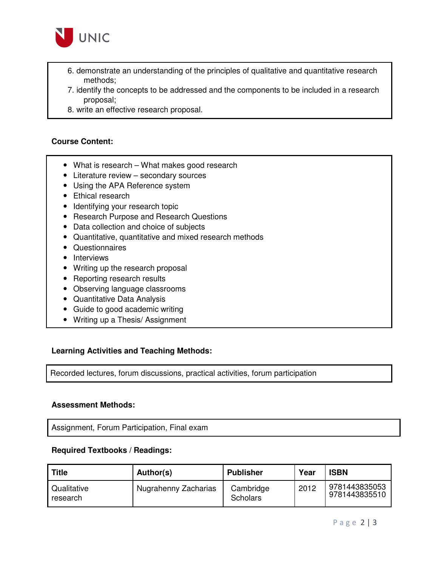

- 6. demonstrate an understanding of the principles of qualitative and quantitative research methods;
- 7. identify the concepts to be addressed and the components to be included in a research proposal;
- 8. write an effective research proposal.

### **Course Content:**

- What is research What makes good research
- Literature review secondary sources
- Using the APA Reference system
- Ethical research
- Identifying your research topic
- Research Purpose and Research Questions
- Data collection and choice of subjects
- Quantitative, quantitative and mixed research methods
- Questionnaires
- Interviews
- Writing up the research proposal
- Reporting research results
- Observing language classrooms
- Quantitative Data Analysis
- Guide to good academic writing
- Writing up a Thesis/ Assignment

#### **Learning Activities and Teaching Methods:**

Recorded lectures, forum discussions, practical activities, forum participation

#### **Assessment Methods:**

Assignment, Forum Participation, Final exam

#### **Required Textbooks / Readings:**

| <b>Title</b>            | Author(s)            | <b>Publisher</b>      | Year | <b>ISBN</b>                    |
|-------------------------|----------------------|-----------------------|------|--------------------------------|
| Qualitative<br>research | Nugrahenny Zacharias | Cambridge<br>Scholars | 2012 | 9781443835053<br>9781443835510 |